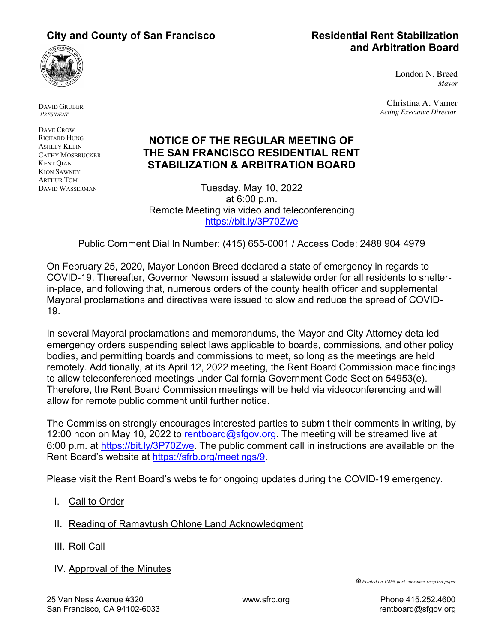# **and Arbitration Board**



DAVID GRUBER *PRESIDENT*

DAVE CROW RICHARD HUNG ASHLEY KLEIN CATHY MOSBRUCKER KENT QIAN KION SAWNEY ARTHUR TOM DAVID WASSERMAN

## **NOTICE OF THE REGULAR MEETING OF THE SAN FRANCISCO RESIDENTIAL RENT STABILIZATION & ARBITRATION BOARD**

Tuesday, May 10, 2022 at 6:00 p.m. Remote Meeting via video and teleconferencing https://bit.ly/3P70Zwe

Public Comment Dial In Number: (415) 655-0001 / Access Code: 2488 904 4979

On February 25, 2020, Mayor London Breed declared a state of emergency in regards to COVID-19. Thereafter, Governor Newsom issued a statewide order for all residents to shelterin-place, and following that, numerous orders of the county health officer and supplemental Mayoral proclamations and directives were issued to slow and reduce the spread of COVID-19.

In several Mayoral proclamations and memorandums, the Mayor and City Attorney detailed emergency orders suspending select laws applicable to boards, commissions, and other policy bodies, and permitting boards and commissions to meet, so long as the meetings are held remotely. Additionally, at its April 12, 2022 meeting, the Rent Board Commission made findings to allow teleconferenced meetings under California Government Code Section 54953(e). Therefore, the Rent Board Commission meetings will be held via videoconferencing and will allow for remote public comment until further notice.

The Commission strongly encourages interested parties to submit their comments in writing, by 12:00 noon on May 10, 2022 to rentboard@sfgov.org. The meeting will be streamed live at 6:00 p.m. at https://bit.ly/3P70Zwe. The public comment call in instructions are available on the Rent Board's website at https://sfrb.org/meetings/9.

Please visit the Rent Board's website for ongoing updates during the COVID-19 emergency.

- I. Call to Order
- II. Reading of Ramaytush Ohlone Land Acknowledgment
- III. Roll Call
- IV. Approval of the Minutes

*Printed on 100% post-consumer recycled paper*

London N. Breed *Mayor*

Christina A. Varner *Acting Executive Director*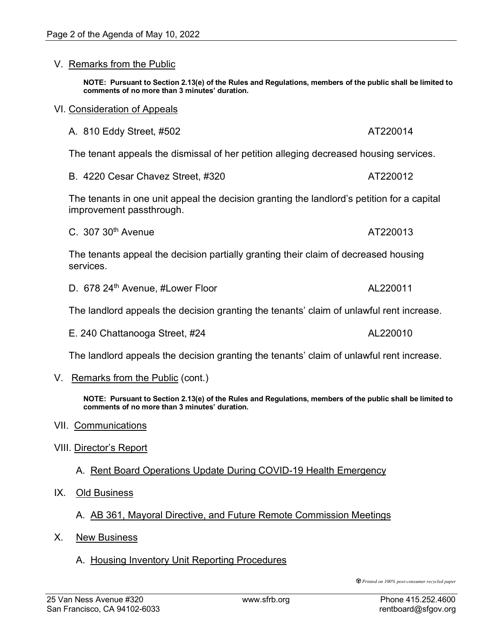### V. Remarks from the Public

**NOTE: Pursuant to Section 2.13(e) of the Rules and Regulations, members of the public shall be limited to comments of no more than 3 minutes' duration.**

#### VI. Consideration of Appeals

| A. 810 Eddy Street, #502 | AT220014 |
|--------------------------|----------|
|                          |          |

The tenant appeals the dismissal of her petition alleging decreased housing services.

| B. 4220 Cesar Chavez Street, #320 | AT220012 |
|-----------------------------------|----------|
|-----------------------------------|----------|

The tenants in one unit appeal the decision granting the landlord's petition for a capital improvement passthrough.

C. 307 30<sup>th</sup> Avenue AT220013

The tenants appeal the decision partially granting their claim of decreased housing services.

D. 678 24<sup>th</sup> Avenue, #Lower Floor AL220011

The landlord appeals the decision granting the tenants' claim of unlawful rent increase.

E. 240 Chattanooga Street, #24 AL220010

The landlord appeals the decision granting the tenants' claim of unlawful rent increase.

V. Remarks from the Public (cont.)

**NOTE: Pursuant to Section 2.13(e) of the Rules and Regulations, members of the public shall be limited to comments of no more than 3 minutes' duration.**

- VII. Communications
- VIII. Director's Report

A. Rent Board Operations Update During COVID-19 Health Emergency

- IX. Old Business
	- A. AB 361, Mayoral Directive, and Future Remote Commission Meetings
- X. New Business
	- A. Housing Inventory Unit Reporting Procedures

*Printed on 100% post-consumer recycled paper*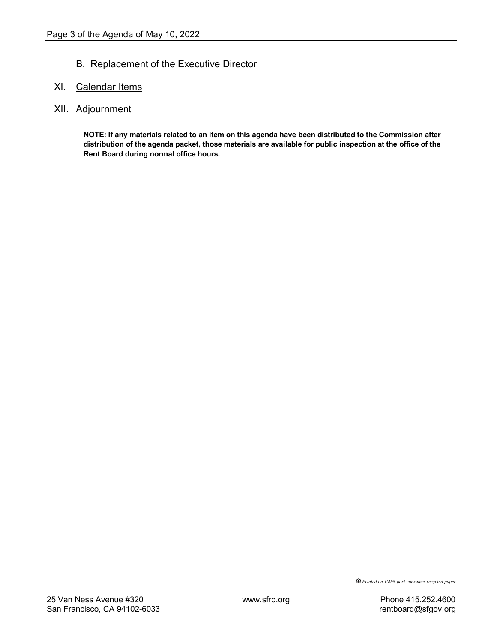## B. Replacement of the Executive Director

## XI. Calendar Items

## XII. Adjournment

**NOTE: If any materials related to an item on this agenda have been distributed to the Commission after distribution of the agenda packet, those materials are available for public inspection at the office of the Rent Board during normal office hours.**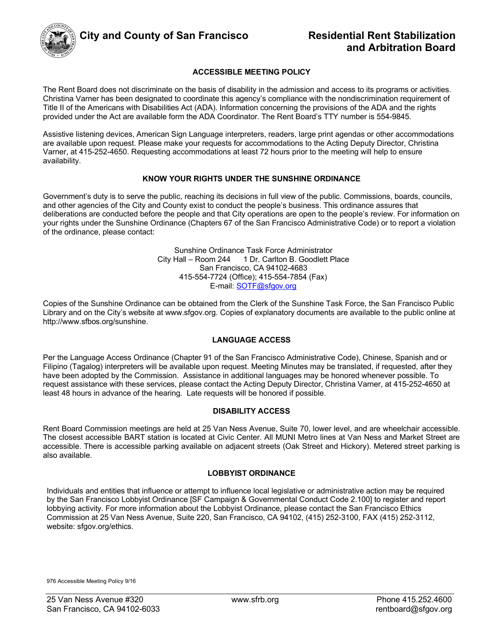

#### **ACCESSIBLE MEETING POLICY**

The Rent Board does not discriminate on the basis of disability in the admission and access to its programs or activities. Christina Varner has been designated to coordinate this agency's compliance with the nondiscrimination requirement of Title II of the Americans with Disabilities Act (ADA). Information concerning the provisions of the ADA and the rights provided under the Act are available form the ADA Coordinator. The Rent Board's TTY number is 554-9845.

Assistive listening devices, American Sign Language interpreters, readers, large print agendas or other accommodations are available upon request. Please make your requests for accommodations to the Acting Deputy Director, Christina Varner, at 415-252-4650. Requesting accommodations at least 72 hours prior to the meeting will help to ensure availability.

#### **KNOW YOUR RIGHTS UNDER THE SUNSHINE ORDINANCE**

Government's duty is to serve the public, reaching its decisions in full view of the public. Commissions, boards, councils, and other agencies of the City and County exist to conduct the people's business. This ordinance assures that deliberations are conducted before the people and that City operations are open to the people's review. For information on your rights under the Sunshine Ordinance (Chapters 67 of the San Francisco Administrative Code) or to report a violation of the ordinance, please contact:

> Sunshine Ordinance Task Force Administrator City Hall – Room 244 1 Dr. Carlton B. Goodlett Place San Francisco, CA 94102-4683 415-554-7724 (Office); 415-554-7854 (Fax) E-mail: **SOTF@sfgov.org**

Copies of the Sunshine Ordinance can be obtained from the Clerk of the Sunshine Task Force, the San Francisco Public Library and on the City's website at www.sfgov.org. Copies of explanatory documents are available to the public online at http://www.sfbos.org/sunshine.

#### **LANGUAGE ACCESS**

Per the Language Access Ordinance (Chapter 91 of the San Francisco Administrative Code), Chinese, Spanish and or Filipino (Tagalog) interpreters will be available upon request. Meeting Minutes may be translated, if requested, after they have been adopted by the Commission. Assistance in additional languages may be honored whenever possible. To request assistance with these services, please contact the Acting Deputy Director, Christina Varner, at 415-252-4650 at least 48 hours in advance of the hearing. Late requests will be honored if possible.

#### **DISABILITY ACCESS**

Rent Board Commission meetings are held at 25 Van Ness Avenue, Suite 70, lower level, and are wheelchair accessible. The closest accessible BART station is located at Civic Center. All MUNI Metro lines at Van Ness and Market Street are accessible. There is accessible parking available on adjacent streets (Oak Street and Hickory). Metered street parking is also available.

#### **LOBBYIST ORDINANCE**

Individuals and entities that influence or attempt to influence local legislative or administrative action may be required by the San Francisco Lobbyist Ordinance [SF Campaign & Governmental Conduct Code 2.100] to register and report lobbying activity. For more information about the Lobbyist Ordinance, please contact the San Francisco Ethics Commission at 25 Van Ness Avenue, Suite 220, San Francisco, CA 94102, (415) 252-3100, FAX (415) 252-3112, website: sfgov.org/ethics.

976 Accessible Meeting Policy 9/16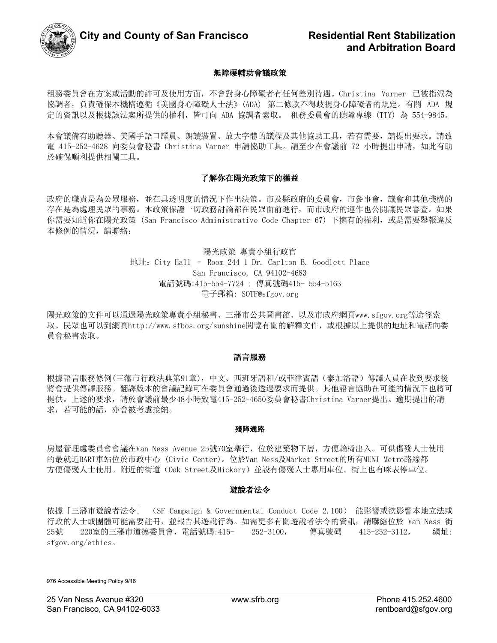

#### 無障礙輔助會議政策

租務委員會在方案或活動的許可及使用方面,不會對身心障礙者有任何差別待遇。Christina Varner 已被指派為 協調者,負責確保本機構遵循《美國身心障礙人士法》(ADA) 第二條款不得歧視身心障礙者的規定。有關 ADA 規 定的資訊以及根據該法案所提供的權利,皆可向 ADA 協調者索取。 租務委員會的聽障專線 (TTY) 為 554-9845。

本會議備有助聽器、美國手語口譯員、朗讀裝置、放大字體的議程及其他協助工具,若有需要,請提出要求。請致 電 415-252-4628 向委員會秘書 Christina Varner 申請協助工具。請至少在會議前 72 小時提出申請, 如此有助 於確保順利提供相關工具。

#### 了解你在陽光政策下的權益

政府的職責是為公眾服務,並在具透明度的情況下作出決策。市及縣政府的委員會,市參事會,議會和其他機構的 存在是為處理民眾的事務。本政策保證一切政務討論都在民眾面前進行,而市政府的運作也公開讓民眾審查。如果 你需要知道你在陽光政策 (San Francisco Administrative Code Chapter 67) 下擁有的權利, 或是需要舉報違反 本條例的情況,請聯絡:

> 陽光政策 專責小組行政官 地址:City Hall – Room 244 1 Dr. Carlton B. Goodlett Place San Francisco, CA 94102-4683 電話號碼:415-554-7724 ; 傳真號碼415- 554-5163 電子郵箱: SOTF@sfgov.org

陽光政策的文件可以通過陽光政策專責小組秘書、三藩市公共圖書館、以及市政府網頁www.sfgov.org等途徑索 取。民眾也可以到網頁http://www.sfbos.org/sunshine閱覽有關的解釋文件,或根據以上提供的地址和電話向委 員會秘書索取。

#### 語言服務

根據語言服務條例(三藩市行政法典第91章),中文、西班牙語和/或菲律賓語(泰加洛語)傳譯人員在收到要求後 將會提供傳譯服務。翻譯版本的會議記錄可在委員會通過後透過要求而提供。其他語言協助在可能的情況下也將可 提供。上述的要求,請於會議前最少48小時致電415-252-4650委員會秘書Christina Varner提出。逾期提出的請 求,若可能的話,亦會被考慮接納。

#### 殘障通路

房屋管理處委員會會議在Van Ness Avenue 25號70室舉行,位於建築物下層,方便輪椅出入。可供傷殘人士使用 的最就近BART車站位於市政中心 (Civic Center)。位於Van Ness及Market Street的所有MUNI Metro路線都 方便傷殘人士使用。附近的街道(Oak Street及Hickory)並設有傷殘人士專用車位。街上也有咪表停車位。

#### 遊說者法令

依據「三藩市遊說者法令」 (SF Campaign & Governmental Conduct Code 2.100) 能影響或欲影響本地立法或 行政的人士或團體可能需要註冊,並報告其遊說行為。如需更多有關遊說者法令的資訊,請聯絡位於 Van Ness 街 25號 220室的三藩市道德委員會,電話號碼:415- 252-3100, 傳真號碼 415-252-3112, 網址: sfgov.org/ethics。

976 Accessible Meeting Policy 9/16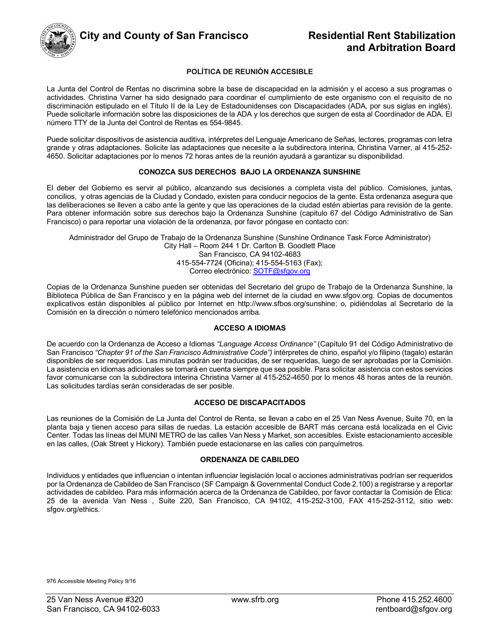

## **and Arbitration Board**

#### **POLÍTICA DE REUNIÓN ACCESIBLE**

La Junta del Control de Rentas no discrimina sobre la base de discapacidad en la admisión y el acceso a sus programas o actividades. Christina Varner ha sido designado para coordinar el cumplimiento de este organismo con el requisito de no discriminación estipulado en el Título II de la Ley de Estadounidenses con Discapacidades (ADA, por sus siglas en inglés). Puede solicitarle información sobre las disposiciones de la ADA y los derechos que surgen de esta al Coordinador de ADA. El número TTY de la Junta del Control de Rentas es 554-9845.

Puede solicitar dispositivos de asistencia auditiva, intérpretes del Lenguaje Americano de Señas, lectores, programas con letra grande y otras adaptaciones. Solicite las adaptaciones que necesite a la subdirectora interina, Christina Varner, al 415-252- 4650. Solicitar adaptaciones por lo menos 72 horas antes de la reunión ayudará a garantizar su disponibilidad.

#### **CONOZCA SUS DERECHOS BAJO LA ORDENANZA SUNSHINE**

El deber del Gobierno es servir al público, alcanzando sus decisiones a completa vista del público. Comisiones, juntas, concilios, y otras agencias de la Ciudad y Condado, existen para conducir negocios de la gente. Esta ordenanza asegura que las deliberaciones se lleven a cabo ante la gente y que las operaciones de la ciudad estén abiertas para revisión de la gente. Para obtener información sobre sus derechos bajo la Ordenanza Sunshine (capitulo 67 del Código Administrativo de San Francisco) o para reportar una violación de la ordenanza, por favor póngase en contacto con:

Administrador del Grupo de Trabajo de la Ordenanza Sunshine (Sunshine Ordinance Task Force Administrator) City Hall – Room 244 1 Dr. Carlton B. Goodlett Place San Francisco, CA 94102-4683 415-554-7724 (Oficina); 415-554-5163 (Fax); Correo electrónico: SOTF@sfgov.org

Copias de la Ordenanza Sunshine pueden ser obtenidas del Secretario del grupo de Trabajo de la Ordenanza Sunshine, la Biblioteca Pública de San Francisco y en la página web del internet de la ciudad en www.sfgov.org. Copias de documentos explicativos están disponibles al público por Internet en http://www.sfbos.org/sunshine; o, pidiéndolas al Secretario de la Comisión en la dirección o número telefónico mencionados arriba.

#### **ACCESO A IDIOMAS**

De acuerdo con la Ordenanza de Acceso a Idiomas *"Language Access Ordinance"* (Capítulo 91 del Código Administrativo de San Francisco *"Chapter 91 of the San Francisco Administrative Code")* intérpretes de chino, español y/o filipino (tagalo) estarán disponibles de ser requeridos. Las minutas podrán ser traducidas, de ser requeridas, luego de ser aprobadas por la Comisión. La asistencia en idiomas adicionales se tomará en cuenta siempre que sea posible. Para solicitar asistencia con estos servicios favor comunicarse con la subdirectora interina Christina Varner al 415-252-4650 por lo menos 48 horas antes de la reunión. Las solicitudes tardías serán consideradas de ser posible.

#### **ACCESO DE DISCAPACITADOS**

Las reuniones de la Comisión de La Junta del Control de Renta, se llevan a cabo en el 25 Van Ness Avenue, Suite 70, en la planta baja y tienen acceso para sillas de ruedas. La estación accesible de BART más cercana está localizada en el Civic Center. Todas las líneas del MUNI METRO de las calles Van Ness y Market, son accesibles. Existe estacionamiento accesible en las calles, (Oak Street y Hickory). También puede estacionarse en las calles con parquímetros.

#### **ORDENANZA DE CABILDEO**

Individuos y entidades que influencian o intentan influenciar legislación local o acciones administrativas podrían ser requeridos por la Ordenanza de Cabildeo de San Francisco (SF Campaign & Governmental Conduct Code 2.100) a registrarse y a reportar actividades de cabildeo. Para más información acerca de la Ordenanza de Cabildeo, por favor contactar la Comisión de Ética: 25 de la avenida Van Ness , Suite 220, San Francisco, CA 94102, 415-252-3100, FAX 415-252-3112, sitio web: sfgov.org/ethics.

976 Accessible Meeting Policy 9/16